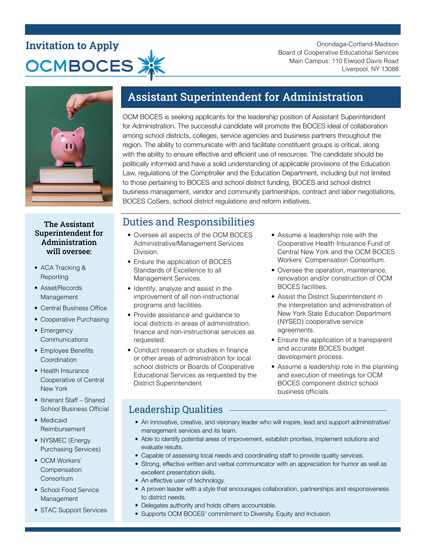# **Invitation to Apply OCMBOCES**

Onondaga-Cortland-Madison Board of Cooperative Educational Services Main Campus: 110 Elwood Davis Road Liverpool, NY 13088



# Assistant Superintendent for Administration

OCM BOCES is seeking applicants for the leadership position of Assistant Superintendent for Administration. The successful candidate will promote the BOCES ideal of collaboration among school districts, colleges, service agencies and business partners throughout the region. The ability to communicate with and facilitate constituent groups is critical, along with the ability to ensure effective and efficient use of resources. The candidate should be politically informed and have a solid understanding of applicable provisions of the Education Law, regulations of the Comptroller and the Education Department, including but not limited to those pertaining to BOCES and school district funding, BOCES and school district business management, vendor and community partnerships, contract and labor negotiations, BOCES CoSers, school district regulations and reform initiatives.

#### The Assistant Superintendent for Administration will oversee:

- ACA Tracking & **Reporting**
- Asset/Records Management
- Central Business Office
- Cooperative Purchasing
- Emergency **Communications**
- Employee Benefits **Coordination**
- Health Insurance Cooperative of Central New York
- Itinerant Staff Shared School Business Official
- Medicaid Reimbursement
- NYSMEC (Energy Purchasing Services)
- OCM Workers' **Compensation Consortium**
- School Food Service Management
- STAC Support Services

## Duties and Responsibilities

- Oversee all aspects of the OCM BOCES Administrative/Management Services Division.
- Ensure the application of BOCES Standards of Excellence to all Management Services.
- Identify, analyze and assist in the improvement of all non-instructional programs and facilities.
- Provide assistance and guidance to local districts in areas of administration, finance and non-instructional services as requested.
- Conduct research or studies in finance or other areas of administration for local school districts or Boards of Cooperative Educational Services as requested by the District Superintendent.
- Assume a leadership role with the Cooperative Health Insurance Fund of Central New York and the OCM BOCES Workers' Compensation Consortium.
- Oversee the operation, maintenance, renovation and/or construction of OCM BOCES facilities.
- Assist the District Superintendent in the interpretation and administration of New York State Education Department (NYSED) cooperative service agreements.
- Ensure the application of a transparent and accurate BOCES budget development process.
- Assume a leadership role in the planning and execution of meetings for OCM BOCES component district school business officials.

### Leadership Qualities

- An innovative, creative, and visionary leader who will inspire, lead and support administrative/ management services and its team.
- Able to identify potential areas of improvement, establish priorities, implement solutions and evaluate results.
- Capable of assessing local needs and coordinating staff to provide quality services.
- Strong, effective written and verbal communicator with an appreciation for humor as well as excellent presentation skills.
- An effective user of technology.
- A proven leader with a style that encourages collaboration, partnerships and responsiveness to district needs.
- Delegates authority and holds others accountable.
- Supports OCM BOCES' commitment to Diversity, Equity and Inclusion.